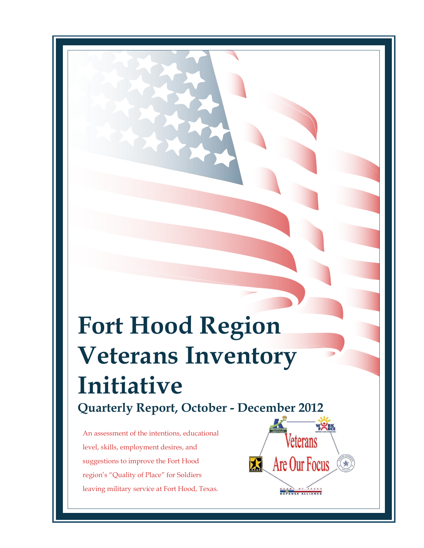# **Fort Hood Region Veterans Inventory Initiative Quarterly Report, October - December 2012**

An assessment of the intentions, educational level, skills, employment desires, and suggestions to improve the Fort Hood region's "Quality of Place" for Soldiers leaving military service at Fort Hood, Texas.

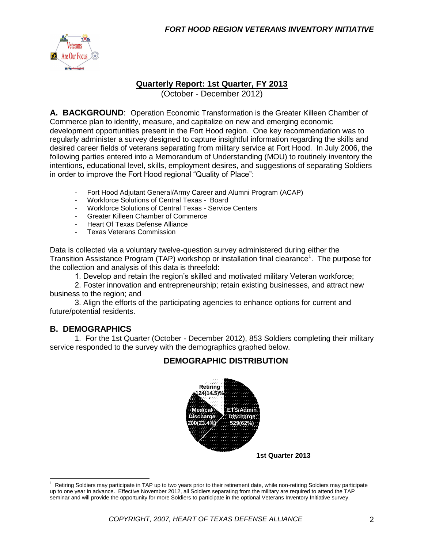

#### **Quarterly Report: 1st Quarter, FY 2013**

(October - December 2012)

**A. BACKGROUND**: Operation Economic Transformation is the Greater Killeen Chamber of Commerce plan to identify, measure, and capitalize on new and emerging economic development opportunities present in the Fort Hood region. One key recommendation was to regularly administer a survey designed to capture insightful information regarding the skills and desired career fields of veterans separating from military service at Fort Hood. In July 2006, the following parties entered into a Memorandum of Understanding (MOU) to routinely inventory the intentions, educational level, skills, employment desires, and suggestions of separating Soldiers in order to improve the Fort Hood regional "Quality of Place":

- Fort Hood Adjutant General/Army Career and Alumni Program (ACAP)
- Workforce Solutions of Central Texas Board<br>- Workforce Solutions of Central Texas Service
- Workforce Solutions of Central Texas Service Centers
- Greater Killeen Chamber of Commerce
- Heart Of Texas Defense Alliance
- Texas Veterans Commission

Data is collected via a voluntary twelve-question survey administered during either the Transition Assistance Program (TAP) workshop or installation final clearance<sup>1</sup>. The purpose for the collection and analysis of this data is threefold:

1. Develop and retain the region's skilled and motivated military Veteran workforce;

2. Foster innovation and entrepreneurship; retain existing businesses, and attract new business to the region; and

3. Align the efforts of the participating agencies to enhance options for current and future/potential residents.

#### **B. DEMOGRAPHICS**

 $\overline{a}$ 

1. For the 1st Quarter (October - December 2012), 853 Soldiers completing their military service responded to the survey with the demographics graphed below.

#### **DEMOGRAPHIC DISTRIBUTION**



<sup>1</sup> Retiring Soldiers may participate in TAP up to two years prior to their retirement date, while non-retiring Soldiers may participate up to one year in advance. Effective November 2012, all Soldiers separating from the military are required to attend the TAP seminar and will provide the opportunity for more Soldiers to participate in the optional Veterans Inventory Initiative survey.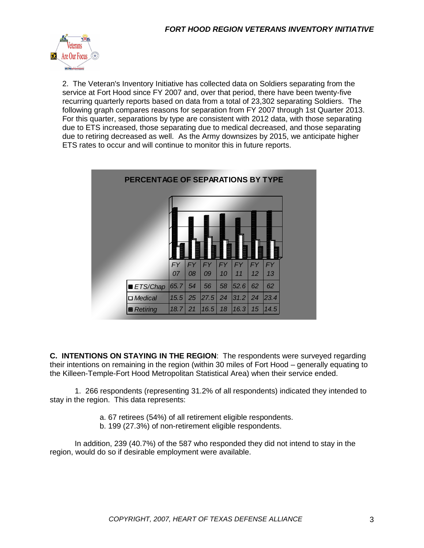

2. The Veteran's Inventory Initiative has collected data on Soldiers separating from the service at Fort Hood since FY 2007 and, over that period, there have been twenty-five recurring quarterly reports based on data from a total of 23,302 separating Soldiers. The following graph compares reasons for separation from FY 2007 through 1st Quarter 2013. For this quarter, separations by type are consistent with 2012 data, with those separating due to ETS increased, those separating due to medical decreased, and those separating due to retiring decreased as well. As the Army downsizes by 2015, we anticipate higher ETS rates to occur and will continue to monitor this in future reports.



**C. INTENTIONS ON STAYING IN THE REGION**: The respondents were surveyed regarding their intentions on remaining in the region (within 30 miles of Fort Hood – generally equating to the Killeen-Temple-Fort Hood Metropolitan Statistical Area) when their service ended.

1. 266 respondents (representing 31.2% of all respondents) indicated they intended to stay in the region. This data represents:

- a. 67 retirees (54%) of all retirement eligible respondents.
- b. 199 (27.3%) of non-retirement eligible respondents.

In addition, 239 (40.7%) of the 587 who responded they did not intend to stay in the region, would do so if desirable employment were available.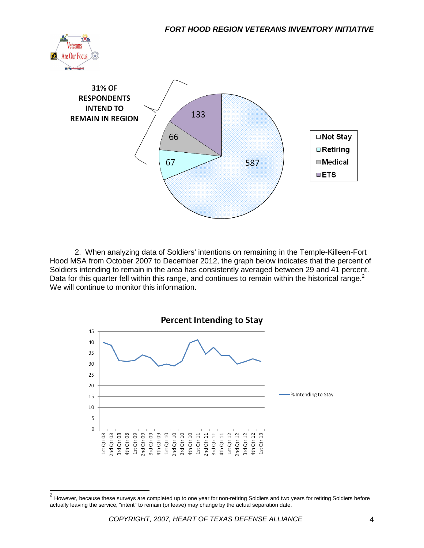



2. When analyzing data of Soldiers' intentions on remaining in the Temple-Killeen-Fort Hood MSA from October 2007 to December 2012, the graph below indicates that the percent of Soldiers intending to remain in the area has consistently averaged between 29 and 41 percent. Data for this quarter fell within this range, and continues to remain within the historical range. $2$ We will continue to monitor this information.



 2 However, because these surveys are completed up to one year for non-retiring Soldiers and two years for retiring Soldiers before actually leaving the service, "intent" to remain (or leave) may change by the actual separation date.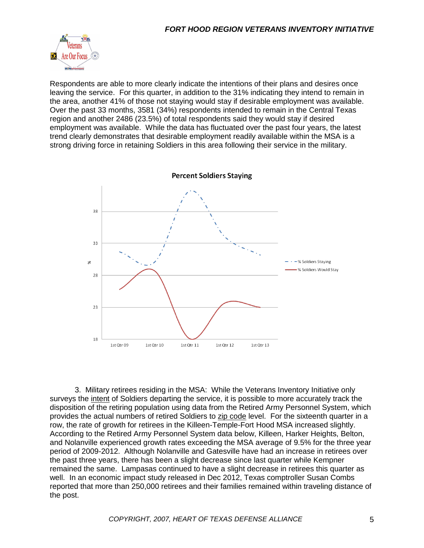

Respondents are able to more clearly indicate the intentions of their plans and desires once leaving the service. For this quarter, in addition to the 31% indicating they intend to remain in the area, another 41% of those not staying would stay if desirable employment was available. Over the past 33 months, 3581 (34%) respondents intended to remain in the Central Texas region and another 2486 (23.5%) of total respondents said they would stay if desired employment was available. While the data has fluctuated over the past four years, the latest trend clearly demonstrates that desirable employment readily available within the MSA is a strong driving force in retaining Soldiers in this area following their service in the military.



3. Military retirees residing in the MSA: While the Veterans Inventory Initiative only surveys the intent of Soldiers departing the service, it is possible to more accurately track the disposition of the retiring population using data from the Retired Army Personnel System, which provides the actual numbers of retired Soldiers to zip code level. For the sixteenth quarter in a row, the rate of growth for retirees in the Killeen-Temple-Fort Hood MSA increased slightly. According to the Retired Army Personnel System data below, Killeen, Harker Heights, Belton, and Nolanville experienced growth rates exceeding the MSA average of 9.5% for the three year period of 2009-2012. Although Nolanville and Gatesville have had an increase in retirees over the past three years, there has been a slight decrease since last quarter while Kempner remained the same. Lampasas continued to have a slight decrease in retirees this quarter as well. In an economic impact study released in Dec 2012, Texas comptroller Susan Combs reported that more than 250,000 retirees and their families remained within traveling distance of the post.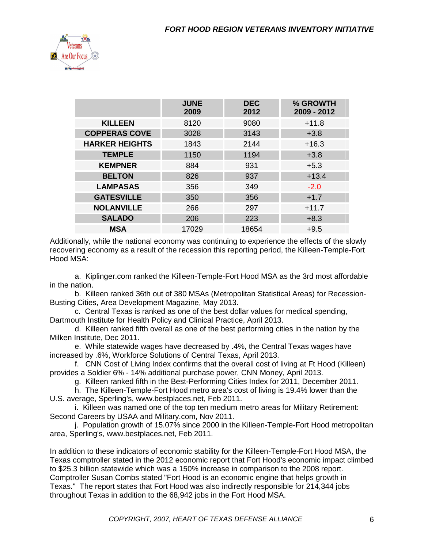

|                       | <b>JUNE</b><br>2009 | <b>DEC</b><br>2012 | % GROWTH<br>2009 - 2012 |
|-----------------------|---------------------|--------------------|-------------------------|
| <b>KILLEEN</b>        | 8120                | 9080               | $+11.8$                 |
| <b>COPPERAS COVE</b>  | 3028                | 3143               | $+3.8$                  |
| <b>HARKER HEIGHTS</b> | 1843                | 2144               | $+16.3$                 |
| <b>TEMPLE</b>         | 1150                | 1194               | $+3.8$                  |
| <b>KEMPNER</b>        | 884                 | 931                | $+5.3$                  |
| <b>BELTON</b>         | 826                 | 937                | $+13.4$                 |
| <b>LAMPASAS</b>       | 356                 | 349                | $-2.0$                  |
| <b>GATESVILLE</b>     | 350                 | 356                | $+1.7$                  |
| <b>NOLANVILLE</b>     | 266                 | 297                | $+11.7$                 |
| <b>SALADO</b>         | 206                 | 223                | $+8.3$                  |
| <b>MSA</b>            | 17029               | 18654              | $+9.5$                  |

Additionally, while the national economy was continuing to experience the effects of the slowly recovering economy as a result of the recession this reporting period, the Killeen-Temple-Fort Hood MSA:

a. Kiplinger.com ranked the Killeen-Temple-Fort Hood MSA as the 3rd most affordable in the nation.

b. Killeen ranked 36th out of 380 MSAs (Metropolitan Statistical Areas) for Recession-Busting Cities, Area Development Magazine, May 2013.

c. Central Texas is ranked as one of the best dollar values for medical spending, Dartmouth Institute for Health Policy and Clinical Practice, April 2013.

d. Killeen ranked fifth overall as one of the best performing cities in the nation by the Milken Institute, Dec 2011.

e. While statewide wages have decreased by .4%, the Central Texas wages have increased by .6%, Workforce Solutions of Central Texas, April 2013.

f. CNN Cost of Living Index confirms that the overall cost of living at Ft Hood (Killeen) provides a Soldier 6% - 14% additional purchase power, CNN Money, April 2013.

g. Killeen ranked fifth in the Best-Performing Cities Index for 2011, December 2011.

h. The Killeen-Temple-Fort Hood metro area's cost of living is 19.4% lower than the U.S. average, Sperling's, www.bestplaces.net, Feb 2011.

i. Killeen was named one of the top ten medium metro areas for Military Retirement: Second Careers by USAA and Military.com, Nov 2011.

j. Population growth of 15.07% since 2000 in the Killeen-Temple-Fort Hood metropolitan area, Sperling's, www.bestplaces.net, Feb 2011.

In addition to these indicators of economic stability for the Killeen-Temple-Fort Hood MSA, the Texas comptroller stated in the 2012 economic report that Fort Hood's economic impact climbed to \$25.3 billion statewide which was a 150% increase in comparison to the 2008 report. Comptroller Susan Combs stated "Fort Hood is an economic engine that helps growth in Texas." The report states that Fort Hood was also indirectly responsible for 214,344 jobs throughout Texas in addition to the 68,942 jobs in the Fort Hood MSA.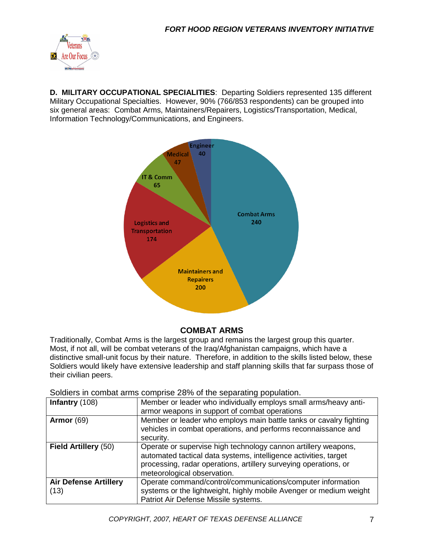

**D. MILITARY OCCUPATIONAL SPECIALITIES**: Departing Soldiers represented 135 different Military Occupational Specialties. However, 90% (766/853 respondents) can be grouped into six general areas: Combat Arms, Maintainers/Repairers, Logistics/Transportation, Medical, Information Technology/Communications, and Engineers.



#### **COMBAT ARMS**

Traditionally, Combat Arms is the largest group and remains the largest group this quarter. Most, if not all, will be combat veterans of the Iraq/Afghanistan campaigns, which have a distinctive small-unit focus by their nature. Therefore, in addition to the skills listed below, these Soldiers would likely have extensive leadership and staff planning skills that far surpass those of their civilian peers.

| Soldiers in combat arms comprise 28% of the separating population. |  |
|--------------------------------------------------------------------|--|
|--------------------------------------------------------------------|--|

| Infantry (108)               | Member or leader who individually employs small arms/heavy anti-   |  |  |
|------------------------------|--------------------------------------------------------------------|--|--|
|                              | armor weapons in support of combat operations                      |  |  |
| Armor $(69)$                 | Member or leader who employs main battle tanks or cavalry fighting |  |  |
|                              | vehicles in combat operations, and performs reconnaissance and     |  |  |
|                              | security.                                                          |  |  |
| <b>Field Artillery (50)</b>  | Operate or supervise high technology cannon artillery weapons,     |  |  |
|                              | automated tactical data systems, intelligence activities, target   |  |  |
|                              | processing, radar operations, artillery surveying operations, or   |  |  |
|                              | meteorological observation.                                        |  |  |
| <b>Air Defense Artillery</b> | Operate command/control/communications/computer information        |  |  |
| (13)                         | systems or the lightweight, highly mobile Avenger or medium weight |  |  |
|                              | Patriot Air Defense Missile systems.                               |  |  |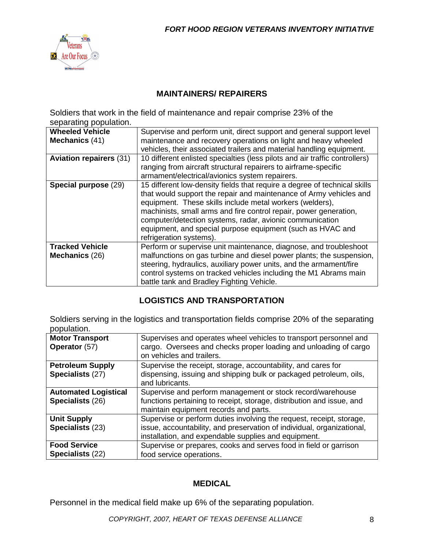

### **MAINTAINERS/ REPAIRERS**

Soldiers that work in the field of maintenance and repair comprise 23% of the separating population.

| <b>Wheeled Vehicle</b><br>Mechanics (41) | Supervise and perform unit, direct support and general support level<br>maintenance and recovery operations on light and heavy wheeled<br>vehicles, their associated trailers and material handling equipment.                                                                                                                                                                                                                        |
|------------------------------------------|---------------------------------------------------------------------------------------------------------------------------------------------------------------------------------------------------------------------------------------------------------------------------------------------------------------------------------------------------------------------------------------------------------------------------------------|
| <b>Aviation repairers (31)</b>           | 10 different enlisted specialties (less pilots and air traffic controllers)<br>ranging from aircraft structural repairers to airframe-specific<br>armament/electrical/avionics system repairers.                                                                                                                                                                                                                                      |
| Special purpose (29)                     | 15 different low-density fields that require a degree of technical skills<br>that would support the repair and maintenance of Army vehicles and<br>equipment. These skills include metal workers (welders),<br>machinists, small arms and fire control repair, power generation,<br>computer/detection systems, radar, avionic communication<br>equipment, and special purpose equipment (such as HVAC and<br>refrigeration systems). |
| <b>Tracked Vehicle</b><br>Mechanics (26) | Perform or supervise unit maintenance, diagnose, and troubleshoot<br>malfunctions on gas turbine and diesel power plants; the suspension,<br>steering, hydraulics, auxiliary power units, and the armament/fire<br>control systems on tracked vehicles including the M1 Abrams main<br>battle tank and Bradley Fighting Vehicle.                                                                                                      |

#### **LOGISTICS AND TRANSPORTATION**

Soldiers serving in the logistics and transportation fields comprise 20% of the separating population.

| <b>Motor Transport</b><br>Operator (57)         | Supervises and operates wheel vehicles to transport personnel and<br>cargo. Oversees and checks proper loading and unloading of cargo<br>on vehicles and trailers.                                     |
|-------------------------------------------------|--------------------------------------------------------------------------------------------------------------------------------------------------------------------------------------------------------|
| <b>Petroleum Supply</b><br>Specialists (27)     | Supervise the receipt, storage, accountability, and cares for<br>dispensing, issuing and shipping bulk or packaged petroleum, oils,<br>and lubricants.                                                 |
| <b>Automated Logistical</b><br>Specialists (26) | Supervise and perform management or stock record/warehouse<br>functions pertaining to receipt, storage, distribution and issue, and<br>maintain equipment records and parts.                           |
| <b>Unit Supply</b><br>Specialists (23)          | Supervise or perform duties involving the request, receipt, storage,<br>issue, accountability, and preservation of individual, organizational,<br>installation, and expendable supplies and equipment. |
| <b>Food Service</b><br>Specialists (22)         | Supervise or prepares, cooks and serves food in field or garrison<br>food service operations.                                                                                                          |

#### **MEDICAL**

Personnel in the medical field make up 6% of the separating population.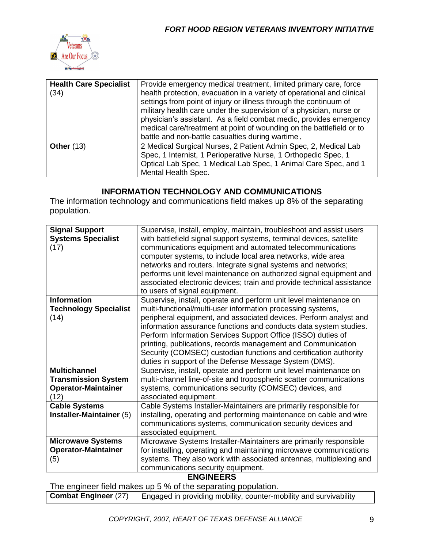

| <b>Health Care Specialist</b><br>(34) | Provide emergency medical treatment, limited primary care, force<br>health protection, evacuation in a variety of operational and clinical<br>settings from point of injury or illness through the continuum of<br>military health care under the supervision of a physician, nurse or<br>physician's assistant. As a field combat medic, provides emergency<br>medical care/treatment at point of wounding on the battlefield or to<br>battle and non-battle casualties during wartime. |
|---------------------------------------|------------------------------------------------------------------------------------------------------------------------------------------------------------------------------------------------------------------------------------------------------------------------------------------------------------------------------------------------------------------------------------------------------------------------------------------------------------------------------------------|
| <b>Other (13)</b>                     | 2 Medical Surgical Nurses, 2 Patient Admin Spec, 2, Medical Lab<br>Spec, 1 Internist, 1 Perioperative Nurse, 1 Orthopedic Spec, 1<br>Optical Lab Spec, 1 Medical Lab Spec, 1 Animal Care Spec, and 1<br>Mental Health Spec.                                                                                                                                                                                                                                                              |

### **INFORMATION TECHNOLOGY AND COMMUNICATIONS**

The information technology and communications field makes up 8% of the separating population.

| <b>Systems Specialist</b><br>with battlefield signal support systems, terminal devices, satellite<br>communications equipment and automated telecommunications<br>(17)<br>computer systems, to include local area networks, wide area<br>networks and routers. Integrate signal systems and networks; |
|-------------------------------------------------------------------------------------------------------------------------------------------------------------------------------------------------------------------------------------------------------------------------------------------------------|
|                                                                                                                                                                                                                                                                                                       |
|                                                                                                                                                                                                                                                                                                       |
|                                                                                                                                                                                                                                                                                                       |
| performs unit level maintenance on authorized signal equipment and                                                                                                                                                                                                                                    |
| associated electronic devices; train and provide technical assistance                                                                                                                                                                                                                                 |
| to users of signal equipment.                                                                                                                                                                                                                                                                         |
| <b>Information</b><br>Supervise, install, operate and perform unit level maintenance on                                                                                                                                                                                                               |
| multi-functional/multi-user information processing systems,<br><b>Technology Specialist</b>                                                                                                                                                                                                           |
| peripheral equipment, and associated devices. Perform analyst and<br>(14)                                                                                                                                                                                                                             |
| information assurance functions and conducts data system studies.                                                                                                                                                                                                                                     |
| Perform Information Services Support Office (ISSO) duties of                                                                                                                                                                                                                                          |
| printing, publications, records management and Communication                                                                                                                                                                                                                                          |
| Security (COMSEC) custodian functions and certification authority                                                                                                                                                                                                                                     |
| duties in support of the Defense Message System (DMS).                                                                                                                                                                                                                                                |
| <b>Multichannel</b><br>Supervise, install, operate and perform unit level maintenance on                                                                                                                                                                                                              |
| <b>Transmission System</b><br>multi-channel line-of-site and tropospheric scatter communications                                                                                                                                                                                                      |
| <b>Operator-Maintainer</b><br>systems, communications security (COMSEC) devices, and                                                                                                                                                                                                                  |
| (12)<br>associated equipment.                                                                                                                                                                                                                                                                         |
| <b>Cable Systems</b><br>Cable Systems Installer-Maintainers are primarily responsible for                                                                                                                                                                                                             |
| Installer-Maintainer (5)<br>installing, operating and performing maintenance on cable and wire                                                                                                                                                                                                        |
| communications systems, communication security devices and                                                                                                                                                                                                                                            |
| associated equipment.                                                                                                                                                                                                                                                                                 |
| <b>Microwave Systems</b><br>Microwave Systems Installer-Maintainers are primarily responsible                                                                                                                                                                                                         |
| <b>Operator-Maintainer</b><br>for installing, operating and maintaining microwave communications                                                                                                                                                                                                      |
| systems. They also work with associated antennas, multiplexing and<br>(5)                                                                                                                                                                                                                             |
| communications security equipment.                                                                                                                                                                                                                                                                    |

#### **ENGINEERS**

The engineer field makes up 5 % of the separating population.

**Combat Engineer** (27) Engaged in providing mobility, counter-mobility and survivability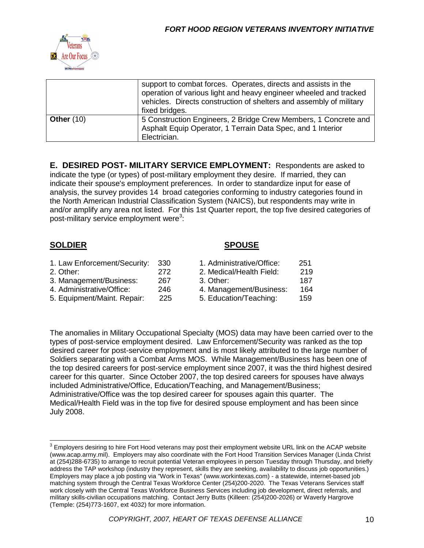

|              | support to combat forces. Operates, directs and assists in the<br>operation of various light and heavy engineer wheeled and tracked<br>vehicles. Directs construction of shelters and assembly of military<br>fixed bridges. |  |
|--------------|------------------------------------------------------------------------------------------------------------------------------------------------------------------------------------------------------------------------------|--|
| Other $(10)$ | 5 Construction Engineers, 2 Bridge Crew Members, 1 Concrete and<br>Asphalt Equip Operator, 1 Terrain Data Spec, and 1 Interior<br>Electrician.                                                                               |  |

**E. DESIRED POST- MILITARY SERVICE EMPLOYMENT:** Respondents are asked to indicate the type (or types) of post-military employment they desire. If married, they can indicate their spouse's employment preferences. In order to standardize input for ease of analysis, the survey provides 14 broad categories conforming to industry categories found in the North American Industrial Classification System (NAICS), but respondents may write in and/or amplify any area not listed. For this 1st Quarter report, the top five desired categories of post-military service employment were<sup>3</sup>:

#### **SOLDIER SPOUSE**

| 1. Law Enforcement/Security: | -330 | 1. Administrative/Office: | 251 |
|------------------------------|------|---------------------------|-----|
| 2. Other:                    | 272  | 2. Medical/Health Field:  | 219 |
| 3. Management/Business:      | 267  | 3. Other:                 | 187 |
| 4. Administrative/Office:    | 246  | 4. Management/Business:   | 164 |
| 5. Equipment/Maint. Repair:  | 225  | 5. Education/Teaching:    | 159 |

The anomalies in Military Occupational Specialty (MOS) data may have been carried over to the types of post-service employment desired. Law Enforcement/Security was ranked as the top desired career for post-service employment and is most likely attributed to the large number of Soldiers separating with a Combat Arms MOS. While Management/Business has been one of the top desired careers for post-service employment since 2007, it was the third highest desired career for this quarter. Since October 2007, the top desired careers for spouses have always included Administrative/Office, Education/Teaching, and Management/Business; Administrative/Office was the top desired career for spouses again this quarter. The Medical/Health Field was in the top five for desired spouse employment and has been since July 2008.

<sup>&</sup>lt;u>3</u><br><sup>3</sup> Employers desiring to hire Fort Hood veterans may post their employment website URL link on the ACAP website (www.acap.army.mil). Employers may also coordinate with the Fort Hood Transition Services Manager (Linda Christ at (254)288-6735) to arrange to recruit potential Veteran employees in person Tuesday through Thursday, and briefly address the TAP workshop (industry they represent, skills they are seeking, availability to discuss job opportunities.) Employers may place a job posting via "Work in Texas" (www.workintexas.com) - a statewide, internet-based job matching system through the Central Texas Workforce Center (254)200-2020. The Texas Veterans Services staff work closely with the Central Texas Workforce Business Services including job development, direct referrals, and military skills-civilian occupations matching. Contact Jerry Butts (Killeen: (254)200-2026) or Waverly Hargrove (Temple: (254)773-1607, ext 4032) for more information.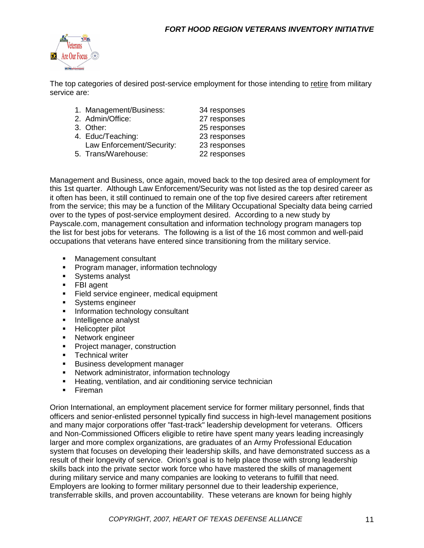

The top categories of desired post-service employment for those intending to retire from military service are:

| 1. Management/Business:   | 34 responses |
|---------------------------|--------------|
| 2. Admin/Office:          | 27 responses |
| 3. Other:                 | 25 responses |
| 4. Educ/Teaching:         | 23 responses |
| Law Enforcement/Security: | 23 responses |
| 5. Trans/Warehouse:       | 22 responses |

Management and Business, once again, moved back to the top desired area of employment for this 1st quarter. Although Law Enforcement/Security was not listed as the top desired career as it often has been, it still continued to remain one of the top five desired careers after retirement from the service; this may be a function of the Military Occupational Specialty data being carried over to the types of post-service employment desired. According to a new study by Payscale.com, management consultation and information technology program managers top the list for best jobs for veterans. The following is a list of the 16 most common and well-paid occupations that veterans have entered since transitioning from the military service.

- Management consultant
- **Program manager, information technology**
- **Systems analyst**
- **FBI** agent
- **Field service engineer, medical equipment**
- **Systems engineer**
- **Information technology consultant**
- **Intelligence analyst**
- **Helicopter pilot**
- **Network engineer**
- **Project manager, construction**
- **Technical writer**
- **Business development manager**
- **Network administrator, information technology**
- **Heating, ventilation, and air conditioning service technician**
- **Fireman**

Orion International, an employment placement service for former military personnel, finds that officers and senior-enlisted personnel typically find success in high-level management positions and many major corporations offer "fast-track" leadership development for veterans. Officers and Non-Commissioned Officers eligible to retire have spent many years leading increasingly larger and more complex organizations, are graduates of an Army Professional Education system that focuses on developing their leadership skills, and have demonstrated success as a result of their longevity of service. Orion's goal is to help place those with strong leadership skills back into the private sector work force who have mastered the skills of management during military service and many companies are looking to veterans to fulfill that need. Employers are looking to former military personnel due to their leadership experience, transferrable skills, and proven accountability. These veterans are known for being highly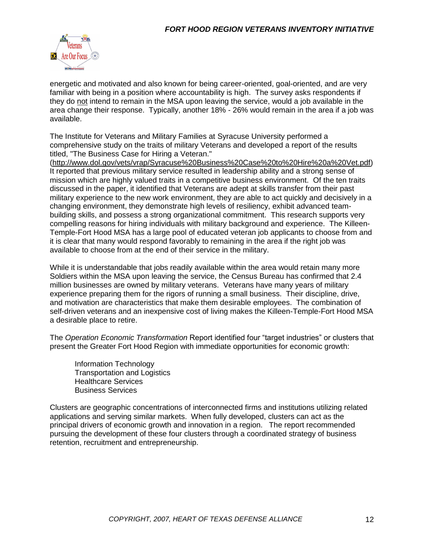

energetic and motivated and also known for being career-oriented, goal-oriented, and are very familiar with being in a position where accountability is high. The survey asks respondents if they do not intend to remain in the MSA upon leaving the service, would a job available in the area change their response. Typically, another 18% - 26% would remain in the area if a job was available.

The Institute for Veterans and Military Families at Syracuse University performed a comprehensive study on the traits of military Veterans and developed a report of the results titled, "The Business Case for Hiring a Veteran."

[\(http://www.dol.gov/vets/vrap/Syracuse%20Business%20Case%20to%20Hire%20a%20Vet.pdf\)](http://www.dol.gov/vets/vrap/Syracuse%20Business%20Case%20to%20Hire%20a%20Vet.pdf) It reported that previous military service resulted in leadership ability and a strong sense of mission which are highly valued traits in a competitive business environment. Of the ten traits discussed in the paper, it identified that Veterans are adept at skills transfer from their past military experience to the new work environment, they are able to act quickly and decisively in a changing environment, they demonstrate high levels of resiliency, exhibit advanced teambuilding skills, and possess a strong organizational commitment. This research supports very compelling reasons for hiring individuals with military background and experience. The Killeen-Temple-Fort Hood MSA has a large pool of educated veteran job applicants to choose from and it is clear that many would respond favorably to remaining in the area if the right job was available to choose from at the end of their service in the military.

While it is understandable that jobs readily available within the area would retain many more Soldiers within the MSA upon leaving the service, the Census Bureau has confirmed that 2.4 million businesses are owned by military veterans. Veterans have many years of military experience preparing them for the rigors of running a small business. Their discipline, drive, and motivation are characteristics that make them desirable employees. The combination of self-driven veterans and an inexpensive cost of living makes the Killeen-Temple-Fort Hood MSA a desirable place to retire.

The *Operation Economic Transformation* Report identified four "target industries" or clusters that present the Greater Fort Hood Region with immediate opportunities for economic growth:

Information Technology Transportation and Logistics Healthcare Services Business Services

Clusters are geographic concentrations of interconnected firms and institutions utilizing related applications and serving similar markets. When fully developed, clusters can act as the principal drivers of economic growth and innovation in a region. The report recommended pursuing the development of these four clusters through a coordinated strategy of business retention, recruitment and entrepreneurship.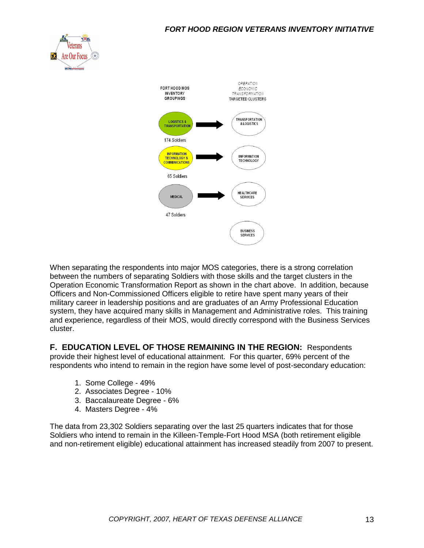



When separating the respondents into major MOS categories, there is a strong correlation between the numbers of separating Soldiers with those skills and the target clusters in the Operation Economic Transformation Report as shown in the chart above. In addition, because Officers and Non-Commissioned Officers eligible to retire have spent many years of their military career in leadership positions and are graduates of an Army Professional Education system, they have acquired many skills in Management and Administrative roles. This training and experience, regardless of their MOS, would directly correspond with the Business Services cluster.

**F. EDUCATION LEVEL OF THOSE REMAINING IN THE REGION:** Respondents provide their highest level of educational attainment. For this quarter, 69% percent of the respondents who intend to remain in the region have some level of post-secondary education:

- 1. Some College 49%
- 2. Associates Degree 10%
- 3. Baccalaureate Degree 6%
- 4. Masters Degree 4%

The data from 23,302 Soldiers separating over the last 25 quarters indicates that for those Soldiers who intend to remain in the Killeen-Temple-Fort Hood MSA (both retirement eligible and non-retirement eligible) educational attainment has increased steadily from 2007 to present.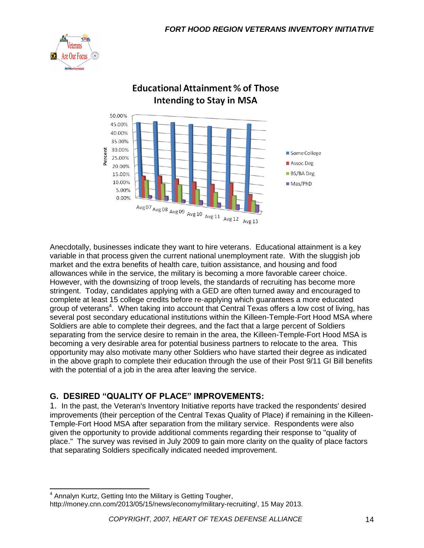



## **Educational Attainment % of Those Intending to Stay in MSA**

Anecdotally, businesses indicate they want to hire veterans. Educational attainment is a key variable in that process given the current national unemployment rate. With the sluggish job market and the extra benefits of health care, tuition assistance, and housing and food allowances while in the service, the military is becoming a more favorable career choice. However, with the downsizing of troop levels, the standards of recruiting has become more stringent. Today, candidates applying with a GED are often turned away and encouraged to complete at least 15 college credits before re-applying which guarantees a more educated group of veterans<sup>4</sup>. When taking into account that Central Texas offers a low cost of living, has several post secondary educational institutions within the Killeen-Temple-Fort Hood MSA where Soldiers are able to complete their degrees, and the fact that a large percent of Soldiers separating from the service desire to remain in the area, the Killeen-Temple-Fort Hood MSA is becoming a very desirable area for potential business partners to relocate to the area. This opportunity may also motivate many other Soldiers who have started their degree as indicated in the above graph to complete their education through the use of their Post 9/11 GI Bill benefits with the potential of a job in the area after leaving the service.

### **G. DESIRED "QUALITY OF PLACE" IMPROVEMENTS:**

1. In the past, the Veteran's Inventory Initiative reports have tracked the respondents' desired improvements (their perception of the Central Texas Quality of Place) if remaining in the Killeen-Temple-Fort Hood MSA after separation from the military service. Respondents were also given the opportunity to provide additional comments regarding their response to "quality of place." The survey was revised in July 2009 to gain more clarity on the quality of place factors that separating Soldiers specifically indicated needed improvement.

 $\overline{\phantom{a}}$ <sup>4</sup> Annalyn Kurtz, Getting Into the Military is Getting Tougher, http://money.cnn.com/2013/05/15/news/economy/military-recruiting/, 15 May 2013.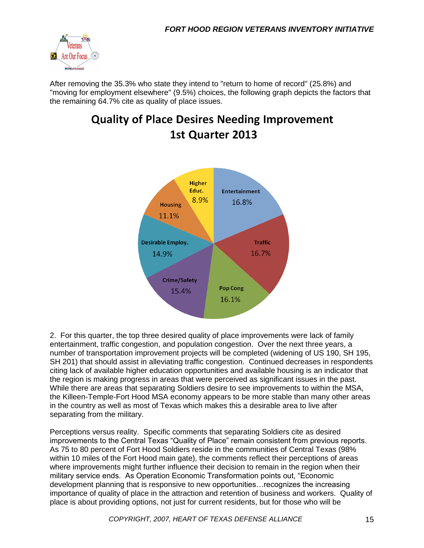

After removing the 35.3% who state they intend to "return to home of record" (25.8%) and "moving for employment elsewhere" (9.5%) choices, the following graph depicts the factors that the remaining 64.7% cite as quality of place issues.

# **Quality of Place Desires Needing Improvement 1st Quarter 2013**



2. For this quarter, the top three desired quality of place improvements were lack of family entertainment, traffic congestion, and population congestion. Over the next three years, a number of transportation improvement projects will be completed (widening of US 190, SH 195, SH 201) that should assist in alleviating traffic congestion. Continued decreases in respondents citing lack of available higher education opportunities and available housing is an indicator that the region is making progress in areas that were perceived as significant issues in the past. While there are areas that separating Soldiers desire to see improvements to within the MSA, the Killeen-Temple-Fort Hood MSA economy appears to be more stable than many other areas in the country as well as most of Texas which makes this a desirable area to live after separating from the military.

Perceptions versus reality. Specific comments that separating Soldiers cite as desired improvements to the Central Texas "Quality of Place" remain consistent from previous reports. As 75 to 80 percent of Fort Hood Soldiers reside in the communities of Central Texas (98% within 10 miles of the Fort Hood main gate), the comments reflect their perceptions of areas where improvements might further influence their decision to remain in the region when their military service ends. As Operation Economic Transformation points out, "Economic development planning that is responsive to new opportunities…recognizes the increasing importance of quality of place in the attraction and retention of business and workers. Quality of place is about providing options, not just for current residents, but for those who will be